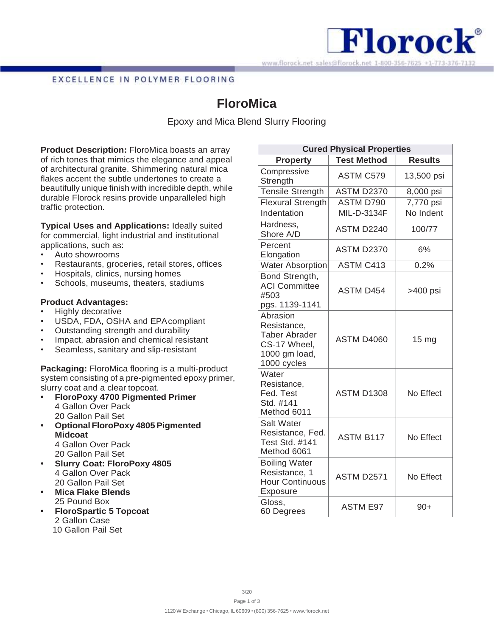

## EXCELLENCE IN POLYMER FLOORING

# **FloroMica**

Epoxy and Mica Blend Slurry Flooring

**Product Description:** FloroMica boasts an array of rich tones that mimics the elegance and appeal of architectural granite. Shimmering natural mica flakes accent the subtle undertones to create a beautifully unique finish with incredible depth, while durable Florock resins provide unparalleled high traffic protection.

**Typical Uses and Applications:** Ideally suited for commercial, light industrial and institutional applications, such as:

- Auto showrooms
- Restaurants, groceries, retail stores, offices
- Hospitals, clinics, nursing homes
- Schools, museums, theaters, stadiums

## **Product Advantages:**

- Highly decorative
- USDA, FDA, OSHA and EPA compliant
- Outstanding strength and durability
- Impact, abrasion and chemical resistant
- Seamless, sanitary and slip-resistant

**Packaging:** FloroMica flooring is a multi-product system consisting of a pre-pigmented epoxy primer, slurry coat and a clear topcoat.

- **• FloroPoxy 4700 Pigmented Primer** 4 Gallon Over Pack 20 Gallon Pail Set
- **• Optional FloroPoxy 4805Pigmented Midcoat** 4 Gallon Over Pack 20 Gallon Pail Set
- **• Slurry Coat: FloroPoxy 4805** 4 Gallon Over Pack 20 Gallon Pail Set
- **• Mica Flake Blends** 25 Pound Box
- **• FloroSpartic 5 Topcoat** 2 Gallon Case 10 Gallon Pail Set

| <b>Cured Physical Properties</b>                                                                |                    |                  |
|-------------------------------------------------------------------------------------------------|--------------------|------------------|
| <b>Property</b>                                                                                 | <b>Test Method</b> | <b>Results</b>   |
| Compressive<br>Strength                                                                         | <b>ASTM C579</b>   | 13,500 psi       |
| <b>Tensile Strength</b>                                                                         | <b>ASTM D2370</b>  | 8,000 psi        |
| <b>Flexural Strength</b>                                                                        | ASTM D790          | 7,770 psi        |
| Indentation                                                                                     | MIL-D-3134F        | No Indent        |
| Hardness,<br>Shore A/D                                                                          | <b>ASTM D2240</b>  | 100/77           |
| Percent<br>Elongation                                                                           | <b>ASTM D2370</b>  | 6%               |
| <b>Water Absorption</b>                                                                         | <b>ASTM C413</b>   | 0.2%             |
| Bond Strength,<br><b>ACI Committee</b><br>#503<br>pgs. 1139-1141                                | <b>ASTM D454</b>   | >400 psi         |
| Abrasion<br>Resistance,<br><b>Taber Abrader</b><br>CS-17 Wheel,<br>1000 gm load,<br>1000 cycles | <b>ASTM D4060</b>  | 15 <sub>mg</sub> |
| Water<br>Resistance,<br>Fed. Test<br>Std. #141<br>Method 6011                                   | <b>ASTM D1308</b>  | No Effect        |
| <b>Salt Water</b><br>Resistance, Fed.<br><b>Test Std. #141</b><br>Method 6061                   | <b>ASTM B117</b>   | No Effect        |
| <b>Boiling Water</b><br>Resistance, 1<br><b>Hour Continuous</b><br>Exposure                     | <b>ASTM D2571</b>  | No Effect        |
| Gloss,<br>60 Degrees                                                                            | <b>ASTM E97</b>    | $90+$            |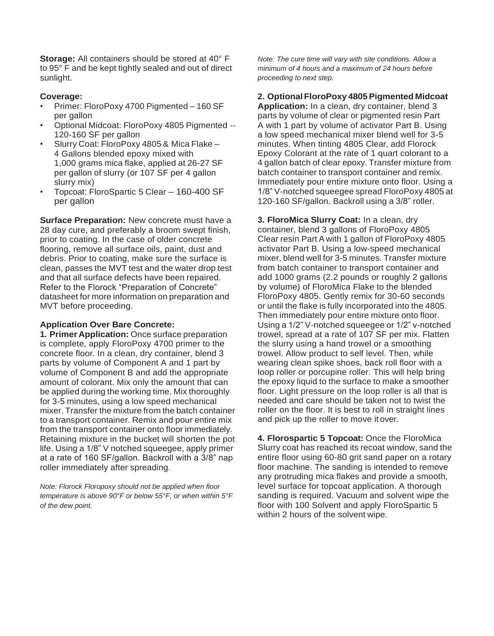**Storage:** All containers should be stored at 40° F to 95° F and be kept tightly sealed and out of direct sunlight.

## **Coverage:**

- Primer: FloroPoxy 4700 Pigmented 160 SF per gallon
- Optional Midcoat: FloroPoxy 4805 Pigmented -- 120-160 SF per gallon
- Slurry Coat: FloroPoxy 4805 & Mica Flake 4 Gallons blended epoxy mixed with 1,000 grams mica flake, applied at 26-27 SF per gallon of slurry (or 107 SF per 4 gallon slurry mix)
- Topcoat: FloroSpartic 5 Clear 160-400 SF per gallon

**Surface Preparation: New concrete must have a** 28 day cure, and preferably a broom swept finish, prior to coating. In the case of older concrete flooring, remove all surface oils, paint, dust and debris. Prior to coating, make sure the surface is clean, passes the MVT test and the water drop test and that all surface defects have been repaired. Refer to the Florock "Preparation of Concrete" datasheet for more information on preparation and MVT before proceeding.

### **Application Over Bare Concrete:**

**1. Primer Application:** Once surface preparation is complete, apply FloroPoxy 4700 primer to the concrete floor. In a clean, dry container, blend 3 parts by volume of Component A and 1 part by volume of Component B and add the appropriate amount of colorant. Mix only the amount that can be applied during the working time. Mix thoroughly for 3-5 minutes, using a low speed mechanical mixer. Transfer the mixture from the batch container to a transport container. Remix and pour entire mix from the transport container onto floor immediately. Retaining mixture in the bucket will shorten the pot life. Using a 1/8" V notched squeegee, apply primer at a rate of 160 SF/gallon. Backroll with a 3/8" nap roller immediately after spreading.

*Note: Florock Floropoxy should not be applied when floor temperature is above 90°F or below 55°F, or when within 5°F of the dew point.*

*Note: The cure time will vary with site conditions. Allow a minimum of 4 hours and a maximum of 24 hours before proceeding to next step.*

# **2. Optional FloroPoxy 4805Pigmented Midcoat**

**Application:** In a clean, dry container, blend 3 parts by volume of clear or pigmented resin Part A with 1 part by volume of activator Part B. Using a low speed mechanical mixer blend well for 3-5 minutes. When tinting 4805 Clear, add Florock Epoxy Colorant at the rate of 1 quart colorant to a 4 gallon batch of clear epoxy. Transfer mixture from batch container to transport container and remix. Immediately pour entire mixture onto floor. Using a 1/8" V-notched squeegee spread FloroPoxy 4805 at 120-160 SF/gallon. Backroll using a 3/8" roller.

**3. FloroMica Slurry Coat:** In a clean, dry container, blend 3 gallons of FloroPoxy 4805 Clear resin Part A with 1 gallon of FloroPoxy 4805 activator Part B. Using a low-speed mechanical mixer, blend well for 3-5 minutes. Transfer mixture from batch container to transport container and add 1000 grams (2.2 pounds or roughly 2 gallons by volume) of FloroMica Flake to the blended FloroPoxy 4805. Gently remix for 30-60 seconds or until the flake is fully incorporated into the 4805. Then immediately pour entire mixture onto floor. Using a 1/2" V-notched squeegee or 1/2" v-notched trowel, spread at a rate of 107 SF per mix. Flatten the slurry using a hand trowel or a smoothing trowel. Allow product to self level. Then, while wearing clean spike shoes, back roll floor with a loop roller or porcupine roller. This will help bring the epoxy liquid to the surface to make a smoother floor. Light pressure on the loop roller is all that is needed and care should be taken not to twist the roller on the floor. It is best to roll in straight lines and pick up the roller to move it over.

**4. Florospartic 5 Topcoat:** Once the FloroMica Slurry coat has reached its recoat window, sand the entire floor using 60-80 grit sand paper on a rotary floor machine. The sanding is intended to remove any protruding mica flakes and provide a smooth, level surface for topcoat application. A thorough sanding is required. Vacuum and solvent wipe the floor with 100 Solvent and apply FloroSpartic 5 within 2 hours of the solvent wipe.